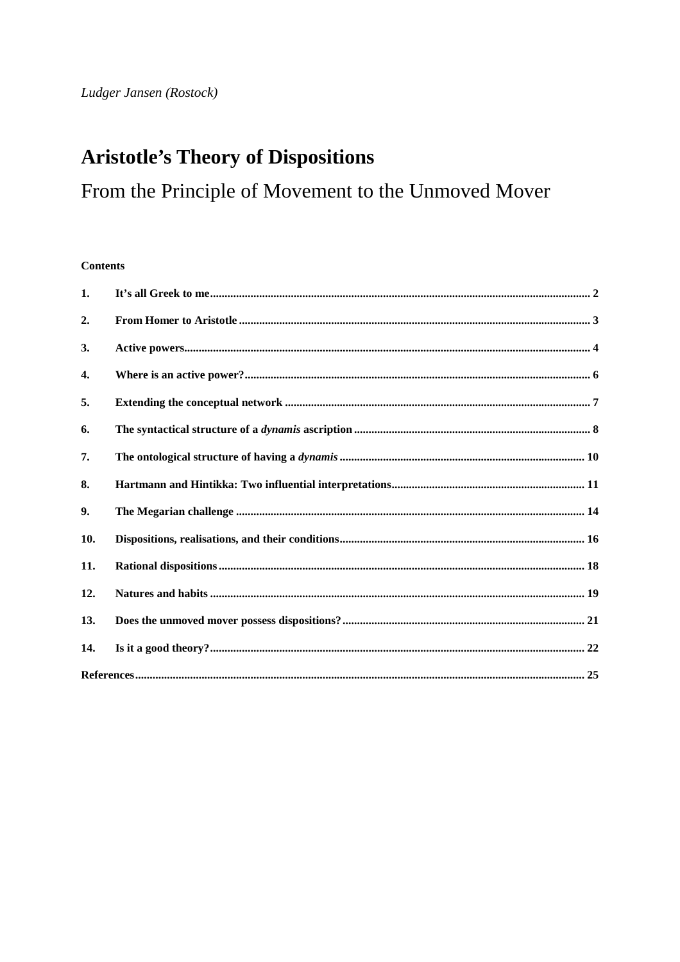# **Aristotle's Theory of Dispositions**

# From the Principle of Movement to the Unmoved Mover

## **Contents**

| 1.  |  |
|-----|--|
| 2.  |  |
| 3.  |  |
| 4.  |  |
| 5.  |  |
| 6.  |  |
| 7.  |  |
| 8.  |  |
| 9.  |  |
| 10. |  |
| 11. |  |
| 12. |  |
| 13. |  |
| 14. |  |
|     |  |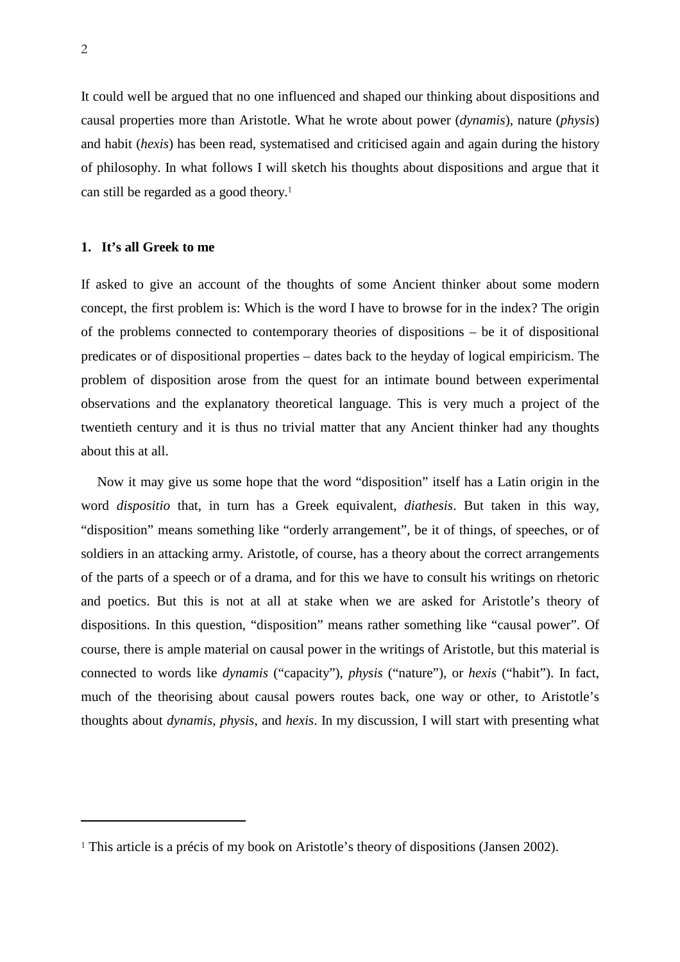It could well be argued that no one influenced and shaped our thinking about dispositions and causal properties more than Aristotle. What he wrote about power (*dynamis*), nature (*physis*) and habit (*hexis*) has been read, systematised and criticised again and again during the history of philosophy. In what follows I will sketch his thoughts about dispositions and argue that it can still be regarded as a good theory.<sup>1</sup>

## **1. It's all Greek to me**

If asked to give an account of the thoughts of some Ancient thinker about some modern concept, the first problem is: Which is the word I have to browse for in the index? The origin of the problems connected to contemporary theories of dispositions – be it of dispositional predicates or of dispositional properties – dates back to the heyday of logical empiricism. The problem of disposition arose from the quest for an intimate bound between experimental observations and the explanatory theoretical language. This is very much a project of the twentieth century and it is thus no trivial matter that any Ancient thinker had any thoughts about this at all.

Now it may give us some hope that the word "disposition" itself has a Latin origin in the word *dispositio* that, in turn has a Greek equivalent, *diathesis*. But taken in this way, "disposition" means something like "orderly arrangement", be it of things, of speeches, or of soldiers in an attacking army. Aristotle, of course, has a theory about the correct arrangements of the parts of a speech or of a drama, and for this we have to consult his writings on rhetoric and poetics. But this is not at all at stake when we are asked for Aristotle's theory of dispositions. In this question, "disposition" means rather something like "causal power". Of course, there is ample material on causal power in the writings of Aristotle, but this material is connected to words like *dynamis* ("capacity"), *physis* ("nature"), or *hexis* ("habit"). In fact, much of the theorising about causal powers routes back, one way or other, to Aristotle's thoughts about *dynamis*, *physis*, and *hexis*. In my discussion, I will start with presenting what

<sup>&</sup>lt;sup>1</sup> This article is a précis of my book on Aristotle's theory of dispositions (Jansen 2002).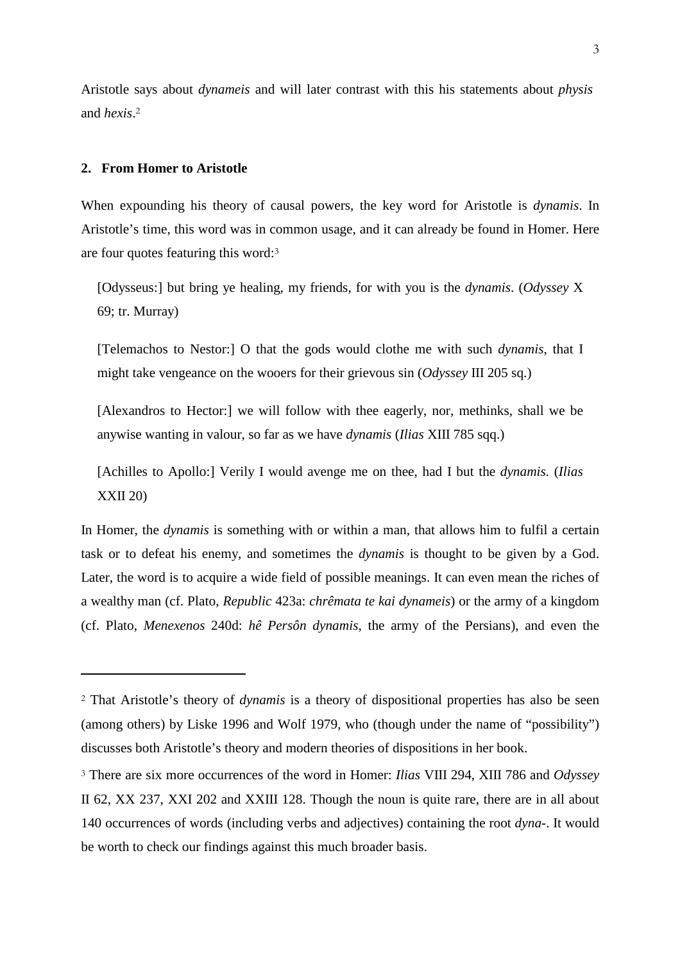Aristotle says about *dynameis* and will later contrast with this his statements about *physis* and *hexis*. 2

## **2. From Homer to Aristotle**

 $\overline{a}$ 

When expounding his theory of causal powers, the key word for Aristotle is *dynamis*. In Aristotle's time, this word was in common usage, and it can already be found in Homer. Here are four quotes featuring this word:<sup>3</sup>

[Odysseus:] but bring ye healing, my friends, for with you is the *dynamis*. (*Odyssey* X 69; tr. Murray)

[Telemachos to Nestor:] O that the gods would clothe me with such *dynamis*, that I might take vengeance on the wooers for their grievous sin (*Odyssey* III 205 sq.)

[Alexandros to Hector:] we will follow with thee eagerly, nor, methinks, shall we be anywise wanting in valour, so far as we have *dynamis* (*Ilias* XIII 785 sqq.)

[Achilles to Apollo:] Verily I would avenge me on thee, had I but the *dynamis.* (*Ilias* XXII 20)

In Homer, the *dynamis* is something with or within a man, that allows him to fulfil a certain task or to defeat his enemy, and sometimes the *dynamis* is thought to be given by a God. Later, the word is to acquire a wide field of possible meanings. It can even mean the riches of a wealthy man (cf. Plato, *Republic* 423a: *chrêmata te kai dynameis*) or the army of a kingdom (cf. Plato, *Menexenos* 240d: *hê Persôn dynamis*, the army of the Persians), and even the

<sup>2</sup> That Aristotle's theory of *dynamis* is a theory of dispositional properties has also be seen (among others) by Liske 1996 and Wolf 1979, who (though under the name of "possibility") discusses both Aristotle's theory and modern theories of dispositions in her book.

<sup>3</sup> There are six more occurrences of the word in Homer: *Ilias* VIII 294, XIII 786 and *Odyssey* II 62, XX 237, XXI 202 and XXIII 128. Though the noun is quite rare, there are in all about 140 occurrences of words (including verbs and adjectives) containing the root *dyna-*. It would be worth to check our findings against this much broader basis.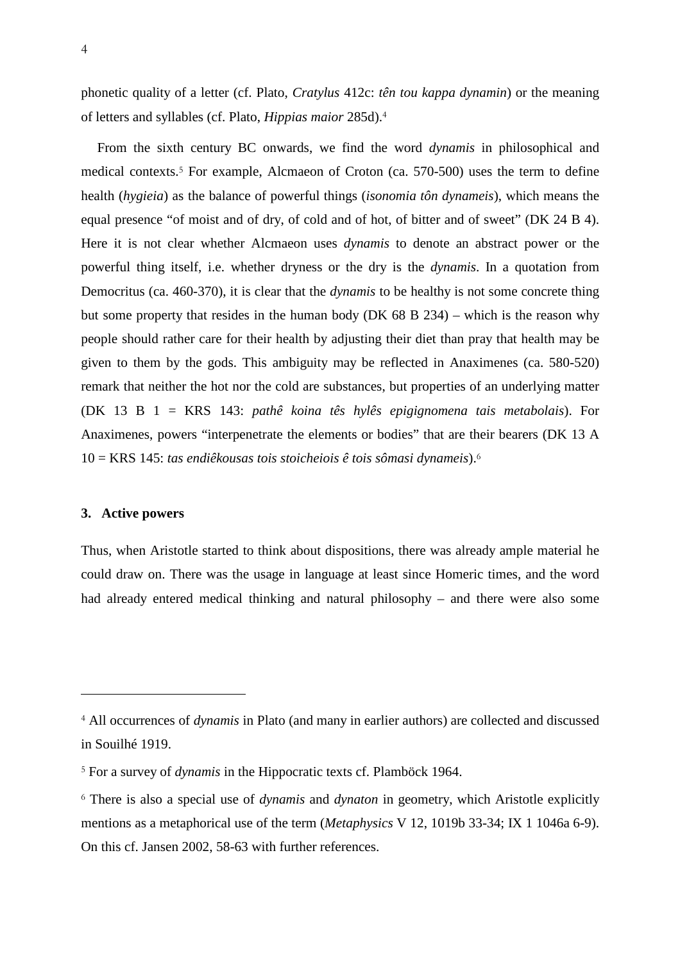phonetic quality of a letter (cf. Plato, *Cratylus* 412c: *tên tou kappa dynamin*) or the meaning of letters and syllables (cf. Plato, *Hippias maior* 285d).<sup>4</sup>

From the sixth century BC onwards, we find the word *dynamis* in philosophical and medical contexts.<sup>5</sup> For example, Alcmaeon of Croton (ca. 570-500) uses the term to define health (*hygieia*) as the balance of powerful things (*isonomia tôn dynameis*), which means the equal presence "of moist and of dry, of cold and of hot, of bitter and of sweet" (DK 24 B 4). Here it is not clear whether Alcmaeon uses *dynamis* to denote an abstract power or the powerful thing itself, i.e. whether dryness or the dry is the *dynamis*. In a quotation from Democritus (ca. 460-370), it is clear that the *dynamis* to be healthy is not some concrete thing but some property that resides in the human body (DK 68 B 234) – which is the reason why people should rather care for their health by adjusting their diet than pray that health may be given to them by the gods. This ambiguity may be reflected in Anaximenes (ca. 580-520) remark that neither the hot nor the cold are substances, but properties of an underlying matter (DK 13 B 1 = KRS 143: *pathê koina tês hylês epigignomena tais metabolais*). For Anaximenes, powers "interpenetrate the elements or bodies" that are their bearers (DK 13 A 10 = KRS 145: *tas endiêkousas tois stoicheiois ê tois sômasi dynameis*).<sup>6</sup>

## **3. Active powers**

 $\overline{a}$ 

Thus, when Aristotle started to think about dispositions, there was already ample material he could draw on. There was the usage in language at least since Homeric times, and the word had already entered medical thinking and natural philosophy – and there were also some

<sup>4</sup> All occurrences of *dynamis* in Plato (and many in earlier authors) are collected and discussed in Souilhé 1919.

<sup>5</sup> For a survey of *dynamis* in the Hippocratic texts cf. Plamböck 1964.

<sup>6</sup> There is also a special use of *dynamis* and *dynaton* in geometry, which Aristotle explicitly mentions as a metaphorical use of the term (*Metaphysics* V 12, 1019b 33-34; IX 1 1046a 6-9). On this cf. Jansen 2002, 58-63 with further references.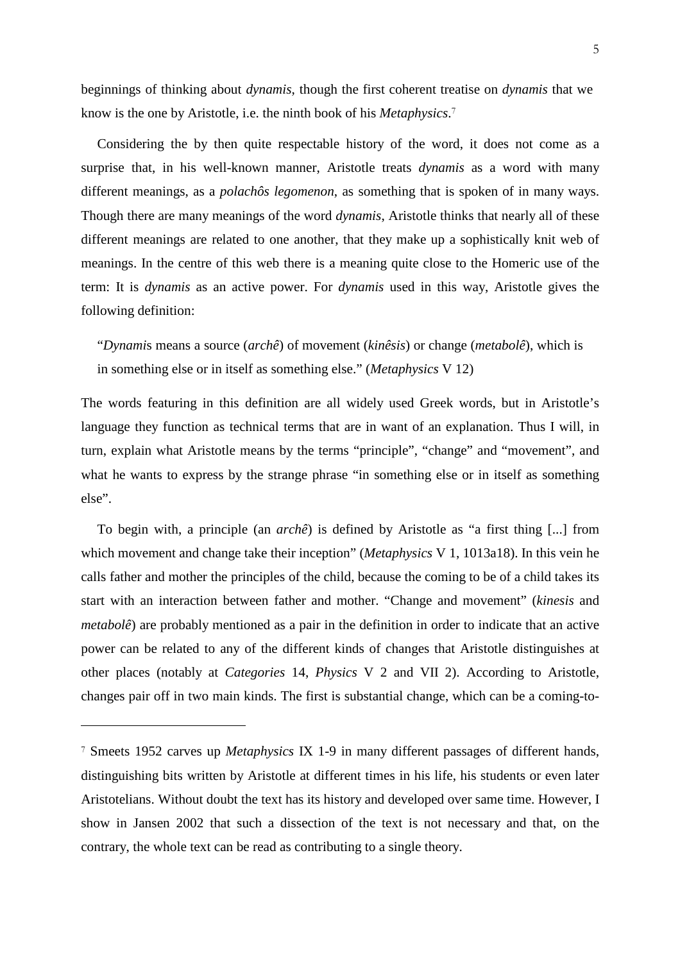beginnings of thinking about *dynamis*, though the first coherent treatise on *dynamis* that we know is the one by Aristotle, i.e. the ninth book of his *Metaphysics*. 7

Considering the by then quite respectable history of the word, it does not come as a surprise that, in his well-known manner, Aristotle treats *dynamis* as a word with many different meanings, as a *polachôs legomenon*, as something that is spoken of in many ways. Though there are many meanings of the word *dynamis*, Aristotle thinks that nearly all of these different meanings are related to one another, that they make up a sophistically knit web of meanings. In the centre of this web there is a meaning quite close to the Homeric use of the term: It is *dynamis* as an active power. For *dynamis* used in this way, Aristotle gives the following definition:

"*Dynami*s means a source (*archê*) of movement (*kinêsis*) or change (*metabolê*), which is in something else or in itself as something else." (*Metaphysics* V 12)

The words featuring in this definition are all widely used Greek words, but in Aristotle's language they function as technical terms that are in want of an explanation. Thus I will, in turn, explain what Aristotle means by the terms "principle", "change" and "movement", and what he wants to express by the strange phrase "in something else or in itself as something else".

To begin with, a principle (an *archê*) is defined by Aristotle as "a first thing [...] from which movement and change take their inception" (*Metaphysics* V 1, 1013a18). In this vein he calls father and mother the principles of the child, because the coming to be of a child takes its start with an interaction between father and mother. "Change and movement" (*kinesis* and *metabolê*) are probably mentioned as a pair in the definition in order to indicate that an active power can be related to any of the different kinds of changes that Aristotle distinguishes at other places (notably at *Categories* 14, *Physics* V 2 and VII 2). According to Aristotle, changes pair off in two main kinds. The first is substantial change, which can be a coming-to-

<sup>7</sup> Smeets 1952 carves up *Metaphysics* IX 1-9 in many different passages of different hands, distinguishing bits written by Aristotle at different times in his life, his students or even later Aristotelians. Without doubt the text has its history and developed over same time. However, I show in Jansen 2002 that such a dissection of the text is not necessary and that, on the contrary, the whole text can be read as contributing to a single theory.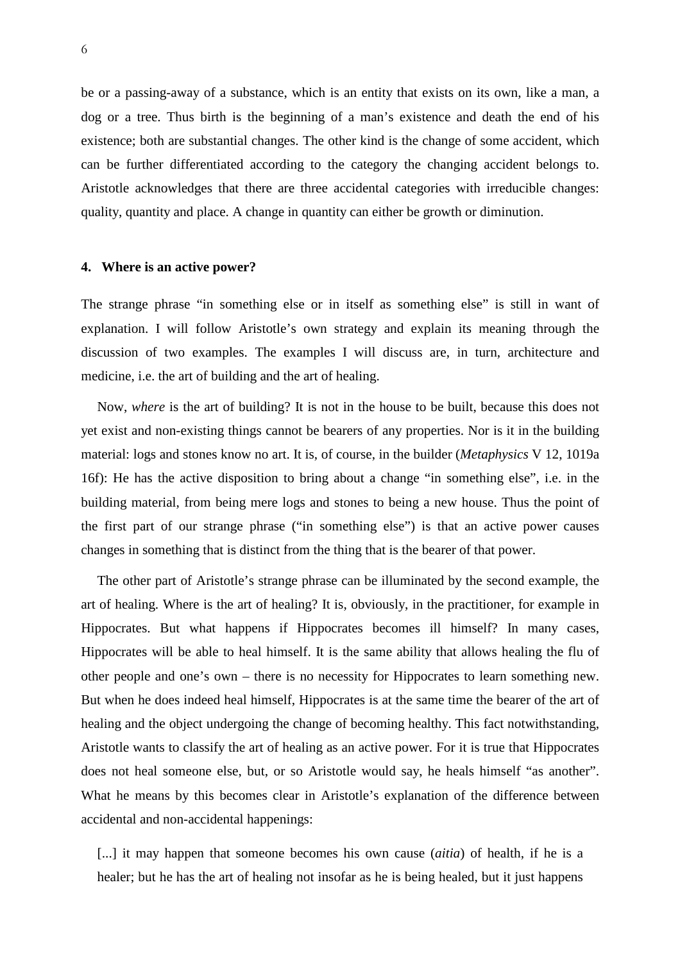be or a passing-away of a substance, which is an entity that exists on its own, like a man, a dog or a tree. Thus birth is the beginning of a man's existence and death the end of his existence; both are substantial changes. The other kind is the change of some accident, which can be further differentiated according to the category the changing accident belongs to. Aristotle acknowledges that there are three accidental categories with irreducible changes: quality, quantity and place. A change in quantity can either be growth or diminution.

#### **4. Where is an active power?**

The strange phrase "in something else or in itself as something else" is still in want of explanation. I will follow Aristotle's own strategy and explain its meaning through the discussion of two examples. The examples I will discuss are, in turn, architecture and medicine, i.e. the art of building and the art of healing.

Now, *where* is the art of building? It is not in the house to be built, because this does not yet exist and non-existing things cannot be bearers of any properties. Nor is it in the building material: logs and stones know no art. It is, of course, in the builder (*Metaphysics* V 12, 1019a 16f): He has the active disposition to bring about a change "in something else", i.e. in the building material, from being mere logs and stones to being a new house. Thus the point of the first part of our strange phrase ("in something else") is that an active power causes changes in something that is distinct from the thing that is the bearer of that power.

The other part of Aristotle's strange phrase can be illuminated by the second example, the art of healing. Where is the art of healing? It is, obviously, in the practitioner, for example in Hippocrates. But what happens if Hippocrates becomes ill himself? In many cases, Hippocrates will be able to heal himself. It is the same ability that allows healing the flu of other people and one's own – there is no necessity for Hippocrates to learn something new. But when he does indeed heal himself, Hippocrates is at the same time the bearer of the art of healing and the object undergoing the change of becoming healthy. This fact notwithstanding, Aristotle wants to classify the art of healing as an active power. For it is true that Hippocrates does not heal someone else, but, or so Aristotle would say, he heals himself "as another". What he means by this becomes clear in Aristotle's explanation of the difference between accidental and non-accidental happenings:

[...] it may happen that someone becomes his own cause *(aitia)* of health, if he is a healer; but he has the art of healing not insofar as he is being healed, but it just happens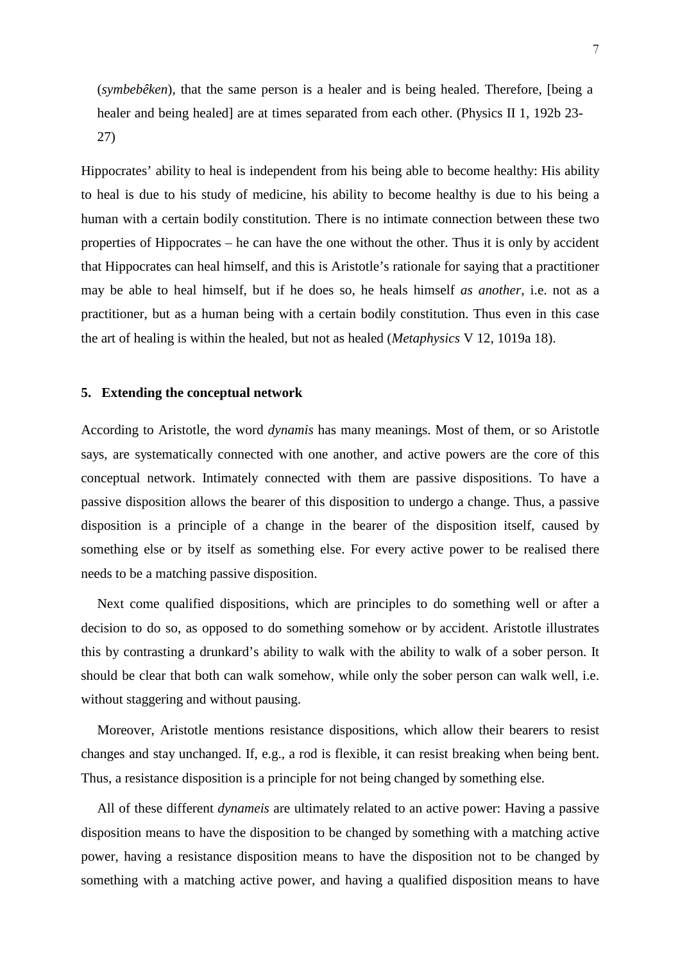(*symbebêken*), that the same person is a healer and is being healed. Therefore, [being a healer and being healed] are at times separated from each other. (Physics II 1, 192b 23-27)

Hippocrates' ability to heal is independent from his being able to become healthy: His ability to heal is due to his study of medicine, his ability to become healthy is due to his being a human with a certain bodily constitution. There is no intimate connection between these two properties of Hippocrates – he can have the one without the other. Thus it is only by accident that Hippocrates can heal himself, and this is Aristotle's rationale for saying that a practitioner may be able to heal himself, but if he does so, he heals himself *as another*, i.e. not as a practitioner, but as a human being with a certain bodily constitution. Thus even in this case the art of healing is within the healed, but not as healed (*Metaphysics* V 12, 1019a 18).

## **5. Extending the conceptual network**

According to Aristotle, the word *dynamis* has many meanings. Most of them, or so Aristotle says, are systematically connected with one another, and active powers are the core of this conceptual network. Intimately connected with them are passive dispositions. To have a passive disposition allows the bearer of this disposition to undergo a change. Thus, a passive disposition is a principle of a change in the bearer of the disposition itself, caused by something else or by itself as something else. For every active power to be realised there needs to be a matching passive disposition.

Next come qualified dispositions, which are principles to do something well or after a decision to do so, as opposed to do something somehow or by accident. Aristotle illustrates this by contrasting a drunkard's ability to walk with the ability to walk of a sober person. It should be clear that both can walk somehow, while only the sober person can walk well, i.e. without staggering and without pausing.

Moreover, Aristotle mentions resistance dispositions, which allow their bearers to resist changes and stay unchanged. If, e.g., a rod is flexible, it can resist breaking when being bent. Thus, a resistance disposition is a principle for not being changed by something else.

All of these different *dynameis* are ultimately related to an active power: Having a passive disposition means to have the disposition to be changed by something with a matching active power, having a resistance disposition means to have the disposition not to be changed by something with a matching active power, and having a qualified disposition means to have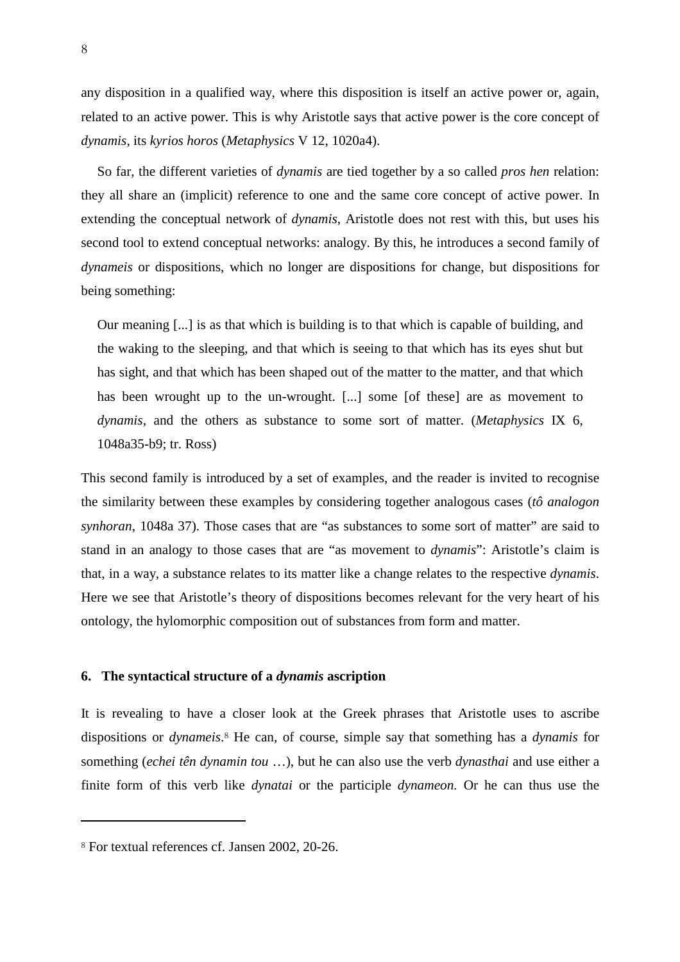any disposition in a qualified way, where this disposition is itself an active power or, again, related to an active power. This is why Aristotle says that active power is the core concept of *dynamis*, its *kyrios horos* (*Metaphysics* V 12, 1020a4).

So far, the different varieties of *dynamis* are tied together by a so called *pros hen* relation: they all share an (implicit) reference to one and the same core concept of active power. In extending the conceptual network of *dynamis*, Aristotle does not rest with this, but uses his second tool to extend conceptual networks: analogy. By this, he introduces a second family of *dynameis* or dispositions, which no longer are dispositions for change, but dispositions for being something:

Our meaning [...] is as that which is building is to that which is capable of building, and the waking to the sleeping, and that which is seeing to that which has its eyes shut but has sight, and that which has been shaped out of the matter to the matter, and that which has been wrought up to the un-wrought. [...] some [of these] are as movement to *dynamis*, and the others as substance to some sort of matter. (*Metaphysics* IX 6, 1048a35-b9; tr. Ross)

This second family is introduced by a set of examples, and the reader is invited to recognise the similarity between these examples by considering together analogous cases (*tô analogon synhoran*, 1048a 37). Those cases that are "as substances to some sort of matter" are said to stand in an analogy to those cases that are "as movement to *dynamis*": Aristotle's claim is that, in a way, a substance relates to its matter like a change relates to the respective *dynamis*. Here we see that Aristotle's theory of dispositions becomes relevant for the very heart of his ontology, the hylomorphic composition out of substances from form and matter.

## **6. The syntactical structure of a** *dynamis* **ascription**

It is revealing to have a closer look at the Greek phrases that Aristotle uses to ascribe dispositions or *dynameis*. 8 He can, of course, simple say that something has a *dynamis* for something (*echei tên dynamin tou* …), but he can also use the verb *dynasthai* and use either a finite form of this verb like *dynatai* or the participle *dynameon.* Or he can thus use the

<sup>8</sup> For textual references cf. Jansen 2002, 20-26.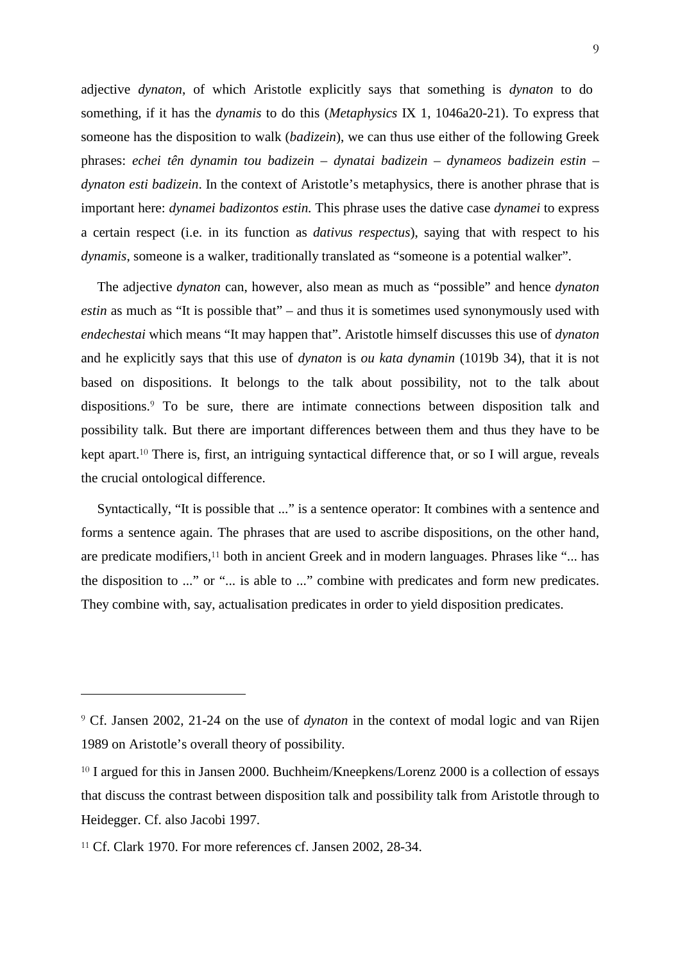adjective *dynaton*, of which Aristotle explicitly says that something is *dynaton* to do something, if it has the *dynamis* to do this (*Metaphysics* IX 1, 1046a20-21). To express that someone has the disposition to walk (*badizein*), we can thus use either of the following Greek phrases: *echei tên dynamin tou badizein – dynatai badizein – dynameos badizein estin – dynaton esti badizein*. In the context of Aristotle's metaphysics, there is another phrase that is important here: *dynamei badizontos estin.* This phrase uses the dative case *dynamei* to express a certain respect (i.e. in its function as *dativus respectus*), saying that with respect to his *dynamis*, someone is a walker, traditionally translated as "someone is a potential walker".

The adjective *dynaton* can, however, also mean as much as "possible" and hence *dynaton estin* as much as "It is possible that" – and thus it is sometimes used synonymously used with *endechestai* which means "It may happen that". Aristotle himself discusses this use of *dynaton* and he explicitly says that this use of *dynaton* is *ou kata dynamin* (1019b 34), that it is not based on dispositions. It belongs to the talk about possibility, not to the talk about dispositions.<sup>9</sup> To be sure, there are intimate connections between disposition talk and possibility talk. But there are important differences between them and thus they have to be kept apart.<sup>10</sup> There is, first, an intriguing syntactical difference that, or so I will argue, reveals the crucial ontological difference.

Syntactically, "It is possible that ..." is a sentence operator: It combines with a sentence and forms a sentence again. The phrases that are used to ascribe dispositions, on the other hand, are predicate modifiers,<sup>11</sup> both in ancient Greek and in modern languages. Phrases like "... has the disposition to ..." or "... is able to ..." combine with predicates and form new predicates. They combine with, say, actualisation predicates in order to yield disposition predicates.

<sup>9</sup> Cf. Jansen 2002, 21-24 on the use of *dynaton* in the context of modal logic and van Rijen 1989 on Aristotle's overall theory of possibility.

<sup>&</sup>lt;sup>10</sup> I argued for this in Jansen 2000. Buchheim/Kneepkens/Lorenz 2000 is a collection of essays that discuss the contrast between disposition talk and possibility talk from Aristotle through to Heidegger. Cf. also Jacobi 1997.

<sup>11</sup> Cf. Clark 1970. For more references cf. Jansen 2002, 28-34.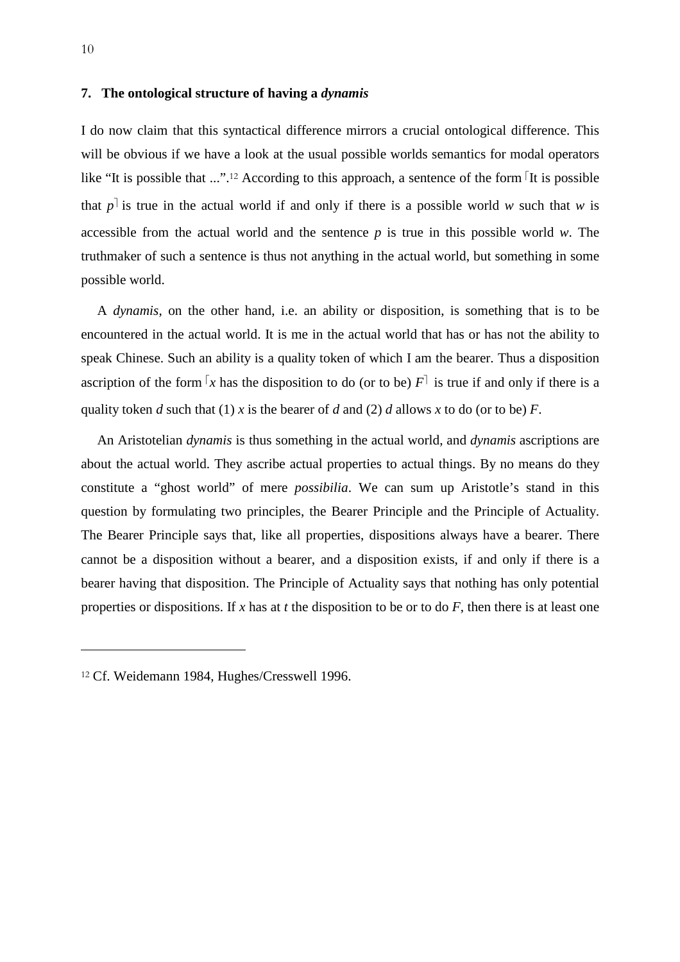## **7. The ontological structure of having a** *dynamis*

I do now claim that this syntactical difference mirrors a crucial ontological difference. This will be obvious if we have a look at the usual possible worlds semantics for modal operators like "It is possible that ...".<sup>12</sup> According to this approach, a sentence of the form <sup> $\lceil$ </sup>It is possible that  $p<sup>1</sup>$  is true in the actual world if and only if there is a possible world *w* such that *w* is accessible from the actual world and the sentence *p* is true in this possible world *w*. The truthmaker of such a sentence is thus not anything in the actual world, but something in some possible world.

A *dynamis*, on the other hand, i.e. an ability or disposition, is something that is to be encountered in the actual world. It is me in the actual world that has or has not the ability to speak Chinese. Such an ability is a quality token of which I am the bearer. Thus a disposition ascription of the form  $\lceil x \rceil$  has the disposition to do (or to be)  $F^{\rceil}$  is true if and only if there is a quality token *d* such that (1) *x* is the bearer of *d* and (2) *d* allows *x* to do (or to be) *F*.

An Aristotelian *dynamis* is thus something in the actual world, and *dynamis* ascriptions are about the actual world. They ascribe actual properties to actual things. By no means do they constitute a "ghost world" of mere *possibilia*. We can sum up Aristotle's stand in this question by formulating two principles, the Bearer Principle and the Principle of Actuality. The Bearer Principle says that, like all properties, dispositions always have a bearer. There cannot be a disposition without a bearer, and a disposition exists, if and only if there is a bearer having that disposition. The Principle of Actuality says that nothing has only potential properties or dispositions. If *x* has at *t* the disposition to be or to do *F*, then there is at least one

<sup>12</sup> Cf. Weidemann 1984, Hughes/Cresswell 1996.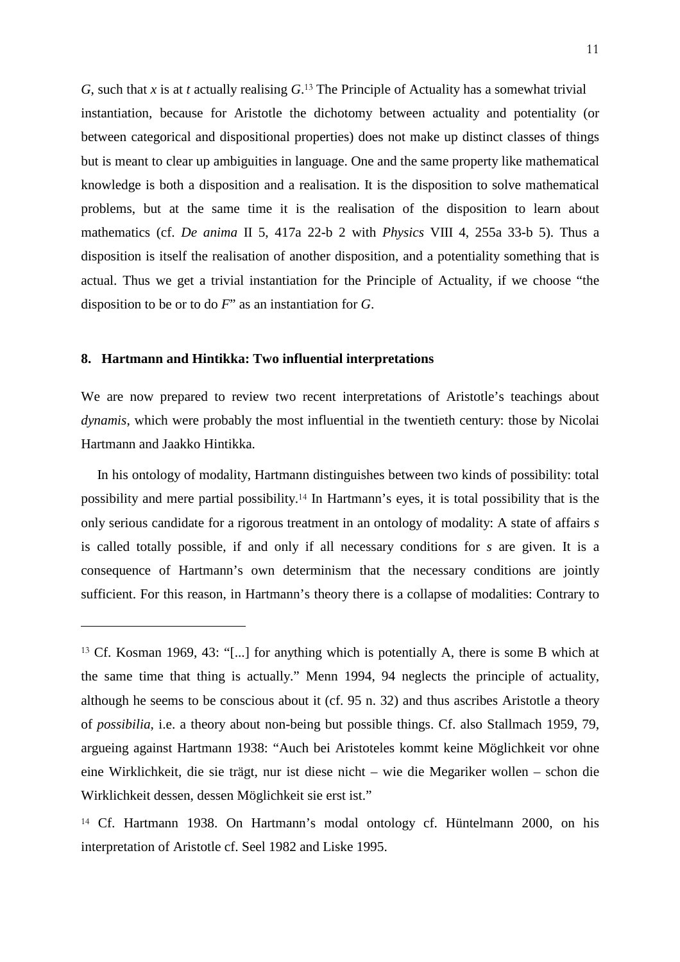$G$ , such that  $x$  is at  $t$  actually realising  $G$ .<sup>13</sup> The Principle of Actuality has a somewhat trivial instantiation, because for Aristotle the dichotomy between actuality and potentiality (or between categorical and dispositional properties) does not make up distinct classes of things but is meant to clear up ambiguities in language. One and the same property like mathematical knowledge is both a disposition and a realisation. It is the disposition to solve mathematical problems, but at the same time it is the realisation of the disposition to learn about mathematics (cf. *De anima* II 5, 417a 22-b 2 with *Physics* VIII 4, 255a 33-b 5). Thus a disposition is itself the realisation of another disposition, and a potentiality something that is actual. Thus we get a trivial instantiation for the Principle of Actuality, if we choose "the disposition to be or to do *F*" as an instantiation for *G*.

#### **8. Hartmann and Hintikka: Two influential interpretations**

 $\overline{a}$ 

We are now prepared to review two recent interpretations of Aristotle's teachings about *dynamis*, which were probably the most influential in the twentieth century: those by Nicolai Hartmann and Jaakko Hintikka.

In his ontology of modality, Hartmann distinguishes between two kinds of possibility: total possibility and mere partial possibility.<sup>14</sup> In Hartmann's eyes, it is total possibility that is the only serious candidate for a rigorous treatment in an ontology of modality: A state of affairs *s* is called totally possible, if and only if all necessary conditions for *s* are given. It is a consequence of Hartmann's own determinism that the necessary conditions are jointly sufficient. For this reason, in Hartmann's theory there is a collapse of modalities: Contrary to

<sup>13</sup> Cf. Kosman 1969, 43: "[...] for anything which is potentially A, there is some B which at the same time that thing is actually." Menn 1994, 94 neglects the principle of actuality, although he seems to be conscious about it (cf. 95 n. 32) and thus ascribes Aristotle a theory of *possibilia*, i.e. a theory about non-being but possible things. Cf. also Stallmach 1959, 79, argueing against Hartmann 1938: "Auch bei Aristoteles kommt keine Möglichkeit vor ohne eine Wirklichkeit, die sie trägt, nur ist diese nicht – wie die Megariker wollen – schon die Wirklichkeit dessen, dessen Möglichkeit sie erst ist."

<sup>14</sup> Cf. Hartmann 1938. On Hartmann's modal ontology cf. Hüntelmann 2000, on his interpretation of Aristotle cf. Seel 1982 and Liske 1995.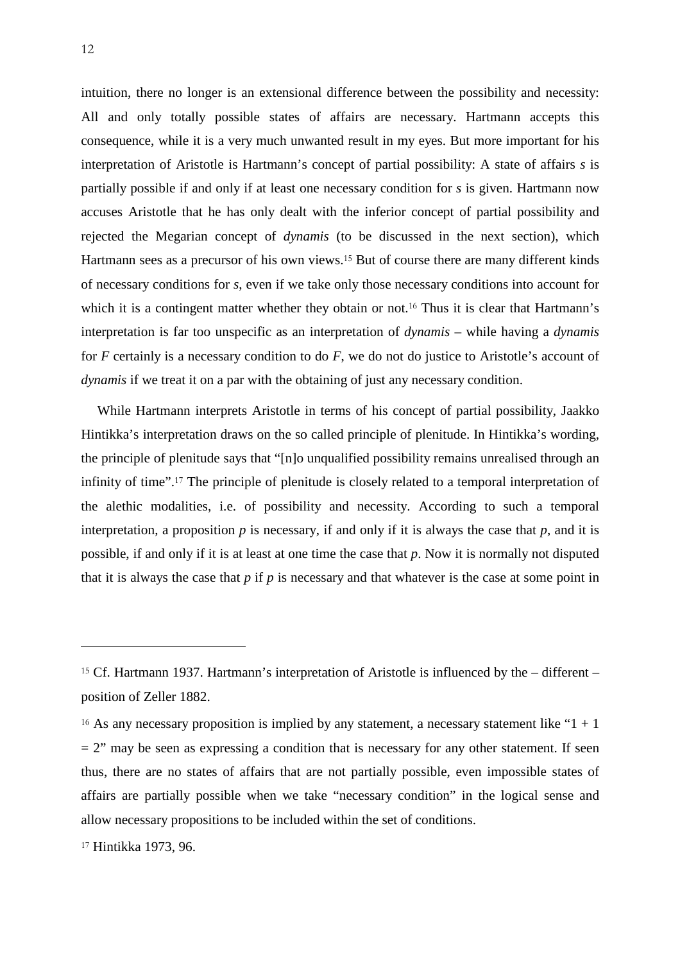intuition, there no longer is an extensional difference between the possibility and necessity: All and only totally possible states of affairs are necessary. Hartmann accepts this consequence, while it is a very much unwanted result in my eyes. But more important for his interpretation of Aristotle is Hartmann's concept of partial possibility: A state of affairs *s* is partially possible if and only if at least one necessary condition for *s* is given. Hartmann now accuses Aristotle that he has only dealt with the inferior concept of partial possibility and rejected the Megarian concept of *dynamis* (to be discussed in the next section), which Hartmann sees as a precursor of his own views.<sup>15</sup> But of course there are many different kinds of necessary conditions for *s*, even if we take only those necessary conditions into account for which it is a contingent matter whether they obtain or not.<sup>16</sup> Thus it is clear that Hartmann's interpretation is far too unspecific as an interpretation of *dynamis –* while having a *dynamis* for *F* certainly is a necessary condition to do *F*, we do not do justice to Aristotle's account of *dynamis* if we treat it on a par with the obtaining of just any necessary condition.

While Hartmann interprets Aristotle in terms of his concept of partial possibility, Jaakko Hintikka's interpretation draws on the so called principle of plenitude. In Hintikka's wording, the principle of plenitude says that "[n]o unqualified possibility remains unrealised through an infinity of time".<sup>17</sup> The principle of plenitude is closely related to a temporal interpretation of the alethic modalities, i.e. of possibility and necessity. According to such a temporal interpretation, a proposition  $p$  is necessary, if and only if it is always the case that  $p$ , and it is possible, if and only if it is at least at one time the case that *p*. Now it is normally not disputed that it is always the case that  $p$  if  $p$  is necessary and that whatever is the case at some point in

<sup>15</sup> Cf. Hartmann 1937. Hartmann's interpretation of Aristotle is influenced by the – different – position of Zeller 1882.

<sup>&</sup>lt;sup>16</sup> As any necessary proposition is implied by any statement, a necessary statement like " $1 + 1$ "  $= 2$ " may be seen as expressing a condition that is necessary for any other statement. If seen thus, there are no states of affairs that are not partially possible, even impossible states of affairs are partially possible when we take "necessary condition" in the logical sense and allow necessary propositions to be included within the set of conditions.

<sup>17</sup> Hintikka 1973, 96.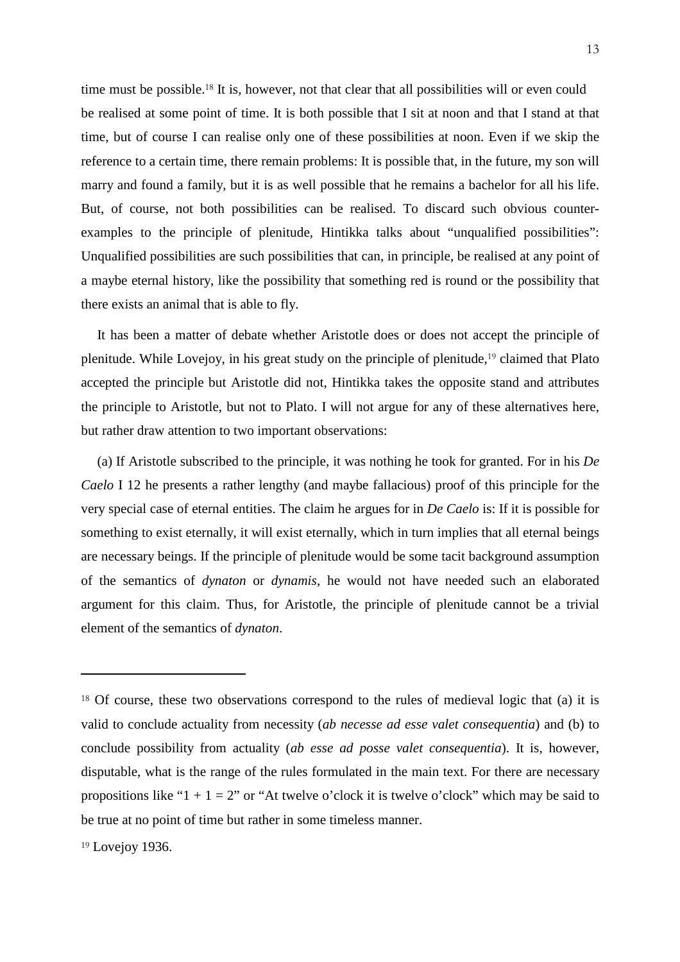time must be possible.<sup>18</sup> It is, however, not that clear that all possibilities will or even could be realised at some point of time. It is both possible that I sit at noon and that I stand at that time, but of course I can realise only one of these possibilities at noon. Even if we skip the reference to a certain time, there remain problems: It is possible that, in the future, my son will marry and found a family, but it is as well possible that he remains a bachelor for all his life. But, of course, not both possibilities can be realised. To discard such obvious counterexamples to the principle of plenitude, Hintikka talks about "unqualified possibilities": Unqualified possibilities are such possibilities that can, in principle, be realised at any point of a maybe eternal history, like the possibility that something red is round or the possibility that there exists an animal that is able to fly.

It has been a matter of debate whether Aristotle does or does not accept the principle of plenitude. While Lovejoy, in his great study on the principle of plenitude,<sup>19</sup> claimed that Plato accepted the principle but Aristotle did not, Hintikka takes the opposite stand and attributes the principle to Aristotle, but not to Plato. I will not argue for any of these alternatives here, but rather draw attention to two important observations:

(a) If Aristotle subscribed to the principle, it was nothing he took for granted. For in his *De Caelo* I 12 he presents a rather lengthy (and maybe fallacious) proof of this principle for the very special case of eternal entities. The claim he argues for in *De Caelo* is: If it is possible for something to exist eternally, it will exist eternally, which in turn implies that all eternal beings are necessary beings. If the principle of plenitude would be some tacit background assumption of the semantics of *dynaton* or *dynamis*, he would not have needed such an elaborated argument for this claim. Thus, for Aristotle, the principle of plenitude cannot be a trivial element of the semantics of *dynaton*.

<sup>19</sup> Lovejov 1936.

<sup>&</sup>lt;sup>18</sup> Of course, these two observations correspond to the rules of medieval logic that (a) it is valid to conclude actuality from necessity (*ab necesse ad esse valet consequentia*) and (b) to conclude possibility from actuality (*ab esse ad posse valet consequentia*). It is, however, disputable, what is the range of the rules formulated in the main text. For there are necessary propositions like " $1 + 1 = 2$ " or "At twelve o'clock it is twelve o'clock" which may be said to be true at no point of time but rather in some timeless manner.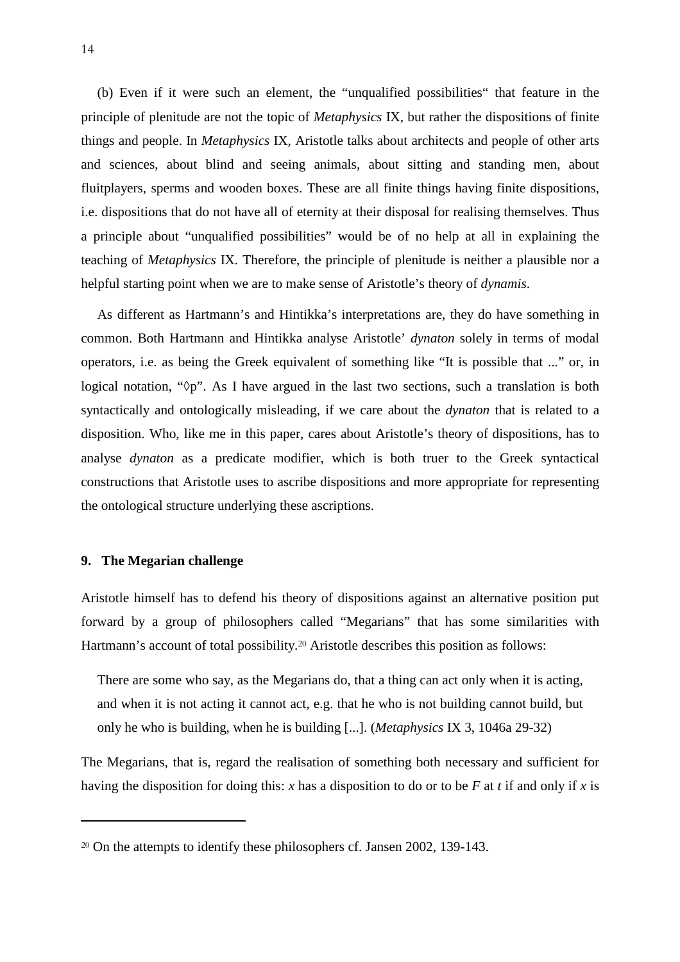(b) Even if it were such an element, the "unqualified possibilities" that feature in the principle of plenitude are not the topic of *Metaphysics* IX, but rather the dispositions of finite things and people. In *Metaphysics* IX, Aristotle talks about architects and people of other arts and sciences, about blind and seeing animals, about sitting and standing men, about fluitplayers, sperms and wooden boxes. These are all finite things having finite dispositions, i.e. dispositions that do not have all of eternity at their disposal for realising themselves. Thus a principle about "unqualified possibilities" would be of no help at all in explaining the teaching of *Metaphysics* IX. Therefore, the principle of plenitude is neither a plausible nor a helpful starting point when we are to make sense of Aristotle's theory of *dynamis*.

As different as Hartmann's and Hintikka's interpretations are, they do have something in common. Both Hartmann and Hintikka analyse Aristotle' *dynaton* solely in terms of modal operators, i.e. as being the Greek equivalent of something like "It is possible that ..." or, in logical notation, " $\Diamond p$ ". As I have argued in the last two sections, such a translation is both syntactically and ontologically misleading, if we care about the *dynaton* that is related to a disposition. Who, like me in this paper, cares about Aristotle's theory of dispositions, has to analyse *dynaton* as a predicate modifier, which is both truer to the Greek syntactical constructions that Aristotle uses to ascribe dispositions and more appropriate for representing the ontological structure underlying these ascriptions.

## **9. The Megarian challenge**

 $\overline{a}$ 

Aristotle himself has to defend his theory of dispositions against an alternative position put forward by a group of philosophers called "Megarians" that has some similarities with Hartmann's account of total possibility.<sup>20</sup> Aristotle describes this position as follows:

There are some who say, as the Megarians do, that a thing can act only when it is acting, and when it is not acting it cannot act, e.g. that he who is not building cannot build, but only he who is building, when he is building [...]. (*Metaphysics* IX 3, 1046a 29-32)

The Megarians, that is, regard the realisation of something both necessary and sufficient for having the disposition for doing this: *x* has a disposition to do or to be *F* at *t* if and only if *x* is

<sup>20</sup> On the attempts to identify these philosophers cf. Jansen 2002, 139-143.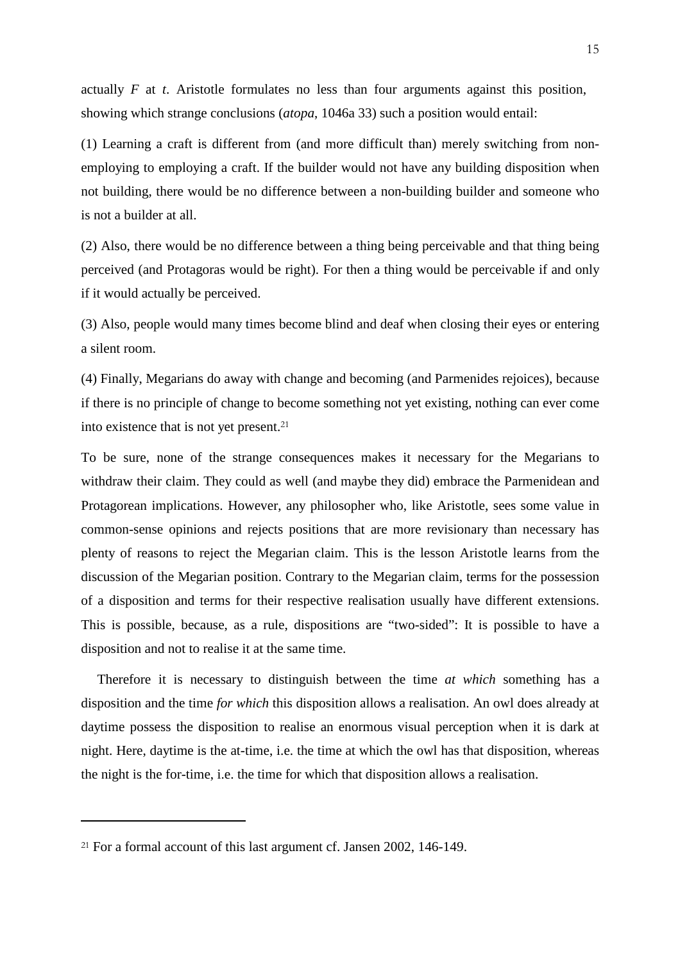actually *F* at *t*. Aristotle formulates no less than four arguments against this position, showing which strange conclusions (*atopa*, 1046a 33) such a position would entail:

(1) Learning a craft is different from (and more difficult than) merely switching from nonemploying to employing a craft. If the builder would not have any building disposition when not building, there would be no difference between a non-building builder and someone who is not a builder at all.

(2) Also, there would be no difference between a thing being perceivable and that thing being perceived (and Protagoras would be right). For then a thing would be perceivable if and only if it would actually be perceived.

(3) Also, people would many times become blind and deaf when closing their eyes or entering a silent room.

(4) Finally, Megarians do away with change and becoming (and Parmenides rejoices), because if there is no principle of change to become something not yet existing, nothing can ever come into existence that is not yet present.<sup>21</sup>

To be sure, none of the strange consequences makes it necessary for the Megarians to withdraw their claim. They could as well (and maybe they did) embrace the Parmenidean and Protagorean implications. However, any philosopher who, like Aristotle, sees some value in common-sense opinions and rejects positions that are more revisionary than necessary has plenty of reasons to reject the Megarian claim. This is the lesson Aristotle learns from the discussion of the Megarian position. Contrary to the Megarian claim, terms for the possession of a disposition and terms for their respective realisation usually have different extensions. This is possible, because, as a rule, dispositions are "two-sided": It is possible to have a disposition and not to realise it at the same time.

Therefore it is necessary to distinguish between the time *at which* something has a disposition and the time *for which* this disposition allows a realisation. An owl does already at daytime possess the disposition to realise an enormous visual perception when it is dark at night. Here, daytime is the at-time, i.e. the time at which the owl has that disposition, whereas the night is the for-time, i.e. the time for which that disposition allows a realisation.

<sup>21</sup> For a formal account of this last argument cf. Jansen 2002, 146-149.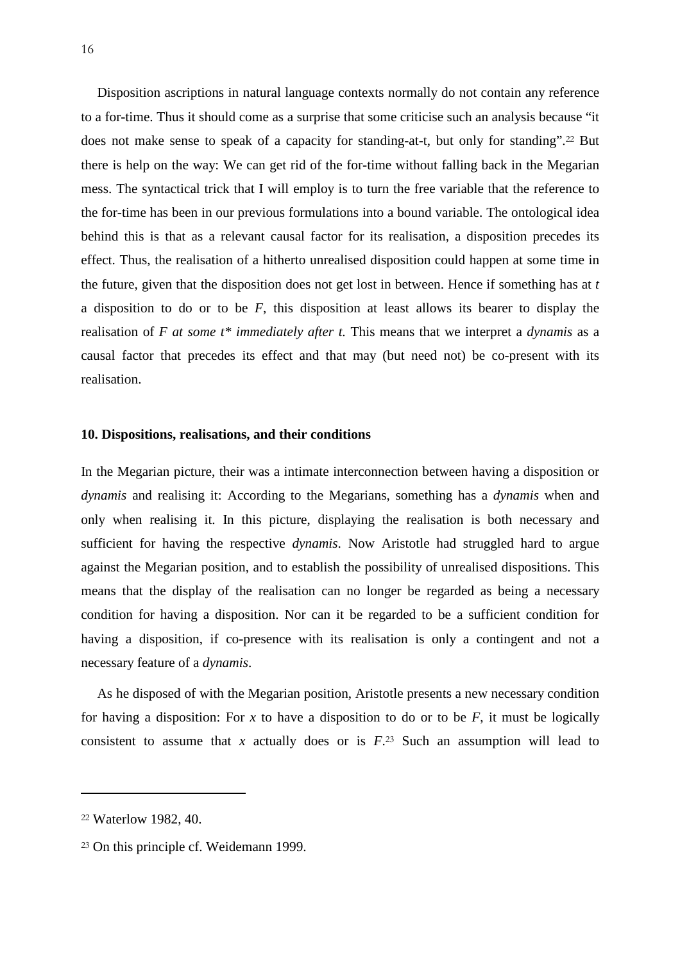Disposition ascriptions in natural language contexts normally do not contain any reference to a for-time. Thus it should come as a surprise that some criticise such an analysis because "it does not make sense to speak of a capacity for standing-at-t, but only for standing".<sup>22</sup> But there is help on the way: We can get rid of the for-time without falling back in the Megarian mess. The syntactical trick that I will employ is to turn the free variable that the reference to the for-time has been in our previous formulations into a bound variable. The ontological idea behind this is that as a relevant causal factor for its realisation, a disposition precedes its effect. Thus, the realisation of a hitherto unrealised disposition could happen at some time in the future, given that the disposition does not get lost in between. Hence if something has at *t*  a disposition to do or to be *F*, this disposition at least allows its bearer to display the realisation of *F at some t\* immediately after t.* This means that we interpret a *dynamis* as a causal factor that precedes its effect and that may (but need not) be co-present with its realisation.

#### **10. Dispositions, realisations, and their conditions**

In the Megarian picture, their was a intimate interconnection between having a disposition or *dynamis* and realising it: According to the Megarians, something has a *dynamis* when and only when realising it. In this picture, displaying the realisation is both necessary and sufficient for having the respective *dynamis*. Now Aristotle had struggled hard to argue against the Megarian position, and to establish the possibility of unrealised dispositions. This means that the display of the realisation can no longer be regarded as being a necessary condition for having a disposition. Nor can it be regarded to be a sufficient condition for having a disposition, if co-presence with its realisation is only a contingent and not a necessary feature of a *dynamis*.

As he disposed of with the Megarian position, Aristotle presents a new necessary condition for having a disposition: For *x* to have a disposition to do or to be *F*, it must be logically consistent to assume that  $x$  actually does or is  $F<sup>23</sup>$ . Such an assumption will lead to

<sup>22</sup> Waterlow 1982, 40.

<sup>23</sup> On this principle cf. Weidemann 1999.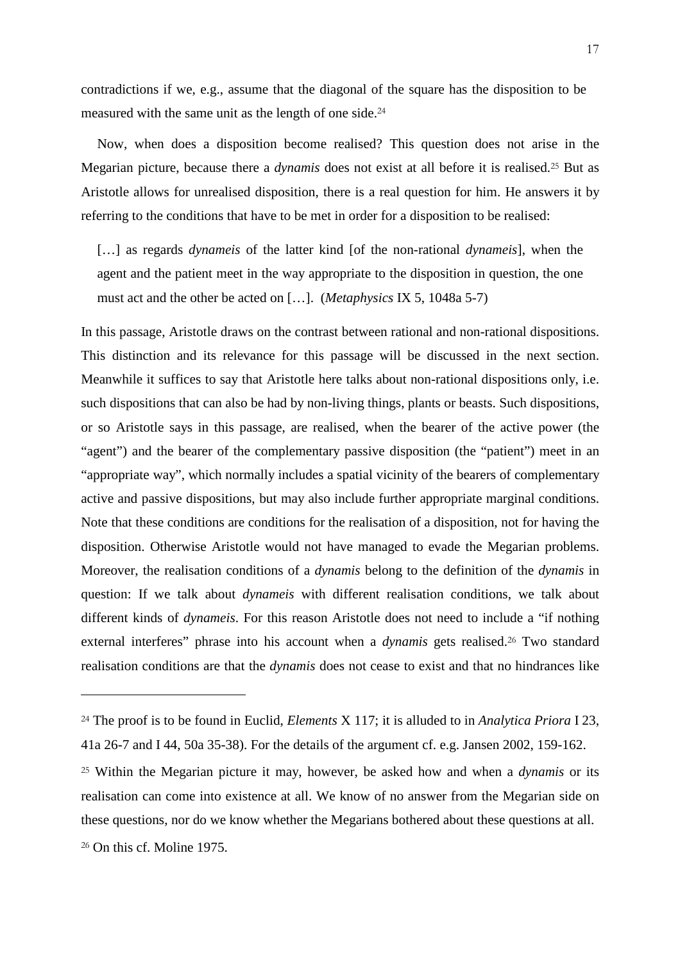contradictions if we, e.g., assume that the diagonal of the square has the disposition to be measured with the same unit as the length of one side.<sup>24</sup>

Now, when does a disposition become realised? This question does not arise in the Megarian picture, because there a *dynamis* does not exist at all before it is realised.<sup>25</sup> But as Aristotle allows for unrealised disposition, there is a real question for him. He answers it by referring to the conditions that have to be met in order for a disposition to be realised:

[...] as regards *dynameis* of the latter kind [of the non-rational *dynameis*], when the agent and the patient meet in the way appropriate to the disposition in question, the one must act and the other be acted on […]. (*Metaphysics* IX 5, 1048a 5-7)

In this passage, Aristotle draws on the contrast between rational and non-rational dispositions. This distinction and its relevance for this passage will be discussed in the next section. Meanwhile it suffices to say that Aristotle here talks about non-rational dispositions only, i.e. such dispositions that can also be had by non-living things, plants or beasts. Such dispositions, or so Aristotle says in this passage, are realised, when the bearer of the active power (the "agent") and the bearer of the complementary passive disposition (the "patient") meet in an "appropriate way", which normally includes a spatial vicinity of the bearers of complementary active and passive dispositions, but may also include further appropriate marginal conditions. Note that these conditions are conditions for the realisation of a disposition, not for having the disposition. Otherwise Aristotle would not have managed to evade the Megarian problems. Moreover, the realisation conditions of a *dynamis* belong to the definition of the *dynamis* in question: If we talk about *dynameis* with different realisation conditions, we talk about different kinds of *dynameis*. For this reason Aristotle does not need to include a "if nothing external interferes" phrase into his account when a *dynamis* gets realised.<sup>26</sup> Two standard realisation conditions are that the *dynamis* does not cease to exist and that no hindrances like

<sup>24</sup> The proof is to be found in Euclid, *Elements* X 117; it is alluded to in *Analytica Priora* I 23, 41a 26-7 and I 44, 50a 35-38). For the details of the argument cf. e.g. Jansen 2002, 159-162.

<sup>25</sup> Within the Megarian picture it may, however, be asked how and when a *dynamis* or its realisation can come into existence at all. We know of no answer from the Megarian side on these questions, nor do we know whether the Megarians bothered about these questions at all. <sup>26</sup> On this cf. Moline 1975.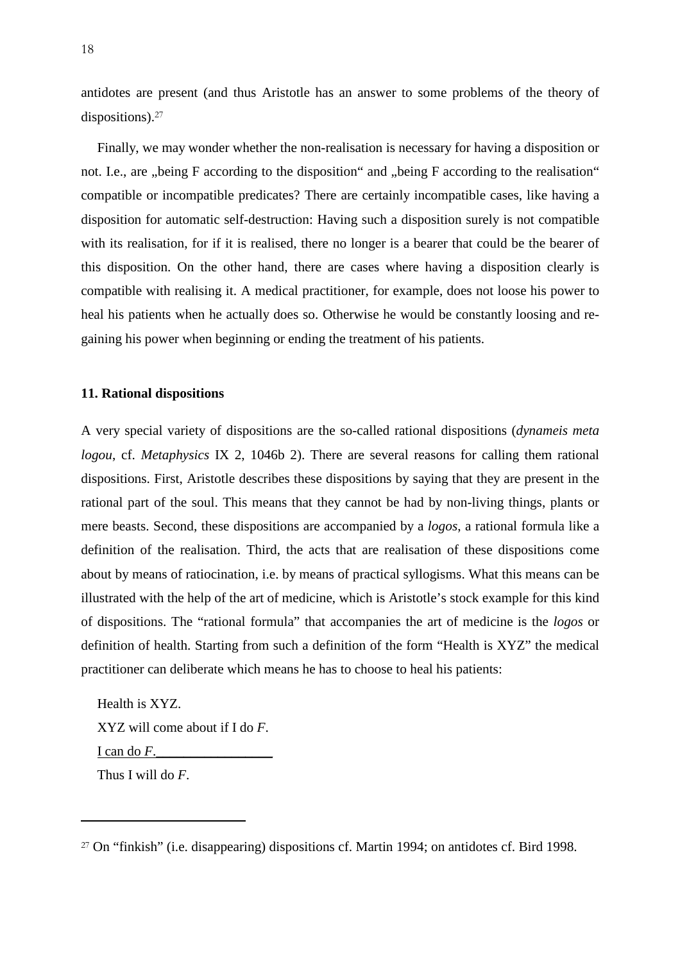antidotes are present (and thus Aristotle has an answer to some problems of the theory of dispositions).<sup>27</sup>

Finally, we may wonder whether the non-realisation is necessary for having a disposition or not. I.e., are "being F according to the disposition" and "being F according to the realisation" compatible or incompatible predicates? There are certainly incompatible cases, like having a disposition for automatic self-destruction: Having such a disposition surely is not compatible with its realisation, for if it is realised, there no longer is a bearer that could be the bearer of this disposition. On the other hand, there are cases where having a disposition clearly is compatible with realising it. A medical practitioner, for example, does not loose his power to heal his patients when he actually does so. Otherwise he would be constantly loosing and regaining his power when beginning or ending the treatment of his patients.

## **11. Rational dispositions**

A very special variety of dispositions are the so-called rational dispositions (*dynameis meta logou*, cf. *Metaphysics* IX 2, 1046b 2). There are several reasons for calling them rational dispositions. First, Aristotle describes these dispositions by saying that they are present in the rational part of the soul. This means that they cannot be had by non-living things, plants or mere beasts. Second, these dispositions are accompanied by a *logos*, a rational formula like a definition of the realisation. Third, the acts that are realisation of these dispositions come about by means of ratiocination, i.e. by means of practical syllogisms. What this means can be illustrated with the help of the art of medicine, which is Aristotle's stock example for this kind of dispositions. The "rational formula" that accompanies the art of medicine is the *logos* or definition of health. Starting from such a definition of the form "Health is XYZ" the medical practitioner can deliberate which means he has to choose to heal his patients:

Health is XYZ. XYZ will come about if I do *F*. I can do  $F$ . Thus I will do *F*.

<sup>27</sup> On "finkish" (i.e. disappearing) dispositions cf. Martin 1994; on antidotes cf. Bird 1998.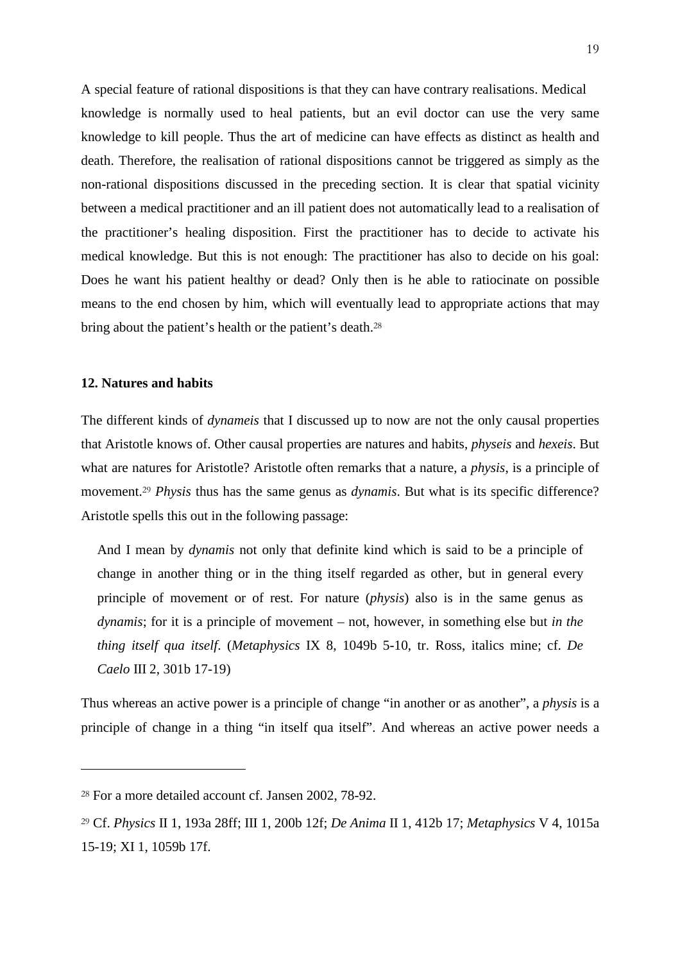A special feature of rational dispositions is that they can have contrary realisations. Medical knowledge is normally used to heal patients, but an evil doctor can use the very same knowledge to kill people. Thus the art of medicine can have effects as distinct as health and death. Therefore, the realisation of rational dispositions cannot be triggered as simply as the non-rational dispositions discussed in the preceding section. It is clear that spatial vicinity between a medical practitioner and an ill patient does not automatically lead to a realisation of the practitioner's healing disposition. First the practitioner has to decide to activate his medical knowledge. But this is not enough: The practitioner has also to decide on his goal: Does he want his patient healthy or dead? Only then is he able to ratiocinate on possible means to the end chosen by him, which will eventually lead to appropriate actions that may bring about the patient's health or the patient's death.<sup>28</sup>

## **12. Natures and habits**

 $\overline{a}$ 

The different kinds of *dynameis* that I discussed up to now are not the only causal properties that Aristotle knows of. Other causal properties are natures and habits, *physeis* and *hexeis*. But what are natures for Aristotle? Aristotle often remarks that a nature, a *physis*, is a principle of movement.<sup>29</sup> *Physis* thus has the same genus as *dynamis*. But what is its specific difference? Aristotle spells this out in the following passage:

And I mean by *dynamis* not only that definite kind which is said to be a principle of change in another thing or in the thing itself regarded as other, but in general every principle of movement or of rest. For nature (*physis*) also is in the same genus as *dynamis*; for it is a principle of movement – not, however, in something else but *in the thing itself qua itself*. (*Metaphysics* IX 8, 1049b 5-10, tr. Ross, italics mine; cf. *De Caelo* III 2, 301b 17-19)

Thus whereas an active power is a principle of change "in another or as another", a *physis* is a principle of change in a thing "in itself qua itself". And whereas an active power needs a

<sup>28</sup> For a more detailed account cf. Jansen 2002, 78-92.

<sup>29</sup> Cf. *Physics* II 1, 193a 28ff; III 1, 200b 12f; *De Anima* II 1, 412b 17; *Metaphysics* V 4, 1015a 15-19; XI 1, 1059b 17f.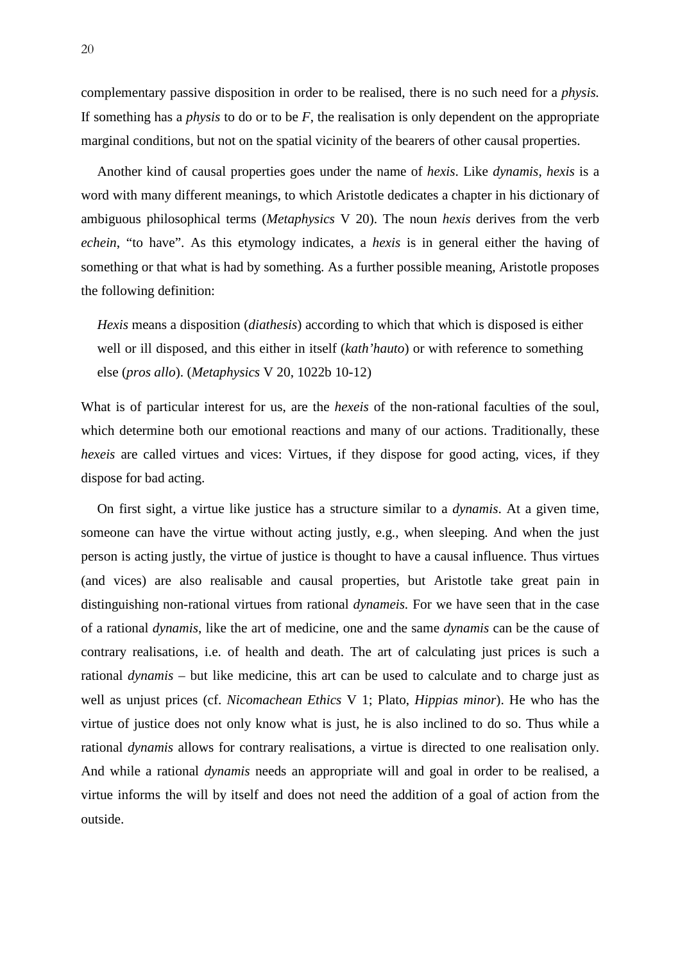complementary passive disposition in order to be realised, there is no such need for a *physis.*  If something has a *physis* to do or to be *F*, the realisation is only dependent on the appropriate marginal conditions, but not on the spatial vicinity of the bearers of other causal properties.

Another kind of causal properties goes under the name of *hexis*. Like *dynamis*, *hexis* is a word with many different meanings, to which Aristotle dedicates a chapter in his dictionary of ambiguous philosophical terms (*Metaphysics* V 20). The noun *hexis* derives from the verb *echein*, "to have". As this etymology indicates, a *hexis* is in general either the having of something or that what is had by something. As a further possible meaning, Aristotle proposes the following definition:

*Hexis* means a disposition (*diathesis*) according to which that which is disposed is either well or ill disposed, and this either in itself (*kath'hauto*) or with reference to something else (*pros allo*). (*Metaphysics* V 20, 1022b 10-12)

What is of particular interest for us, are the *hexeis* of the non-rational faculties of the soul, which determine both our emotional reactions and many of our actions. Traditionally, these *hexeis* are called virtues and vices: Virtues, if they dispose for good acting, vices, if they dispose for bad acting.

On first sight, a virtue like justice has a structure similar to a *dynamis*. At a given time, someone can have the virtue without acting justly, e.g., when sleeping. And when the just person is acting justly, the virtue of justice is thought to have a causal influence. Thus virtues (and vices) are also realisable and causal properties, but Aristotle take great pain in distinguishing non-rational virtues from rational *dynameis.* For we have seen that in the case of a rational *dynamis*, like the art of medicine, one and the same *dynamis* can be the cause of contrary realisations, i.e. of health and death. The art of calculating just prices is such a rational *dynamis* – but like medicine, this art can be used to calculate and to charge just as well as unjust prices (cf. *Nicomachean Ethics* V 1; Plato, *Hippias minor*). He who has the virtue of justice does not only know what is just, he is also inclined to do so. Thus while a rational *dynamis* allows for contrary realisations, a virtue is directed to one realisation only. And while a rational *dynamis* needs an appropriate will and goal in order to be realised, a virtue informs the will by itself and does not need the addition of a goal of action from the outside.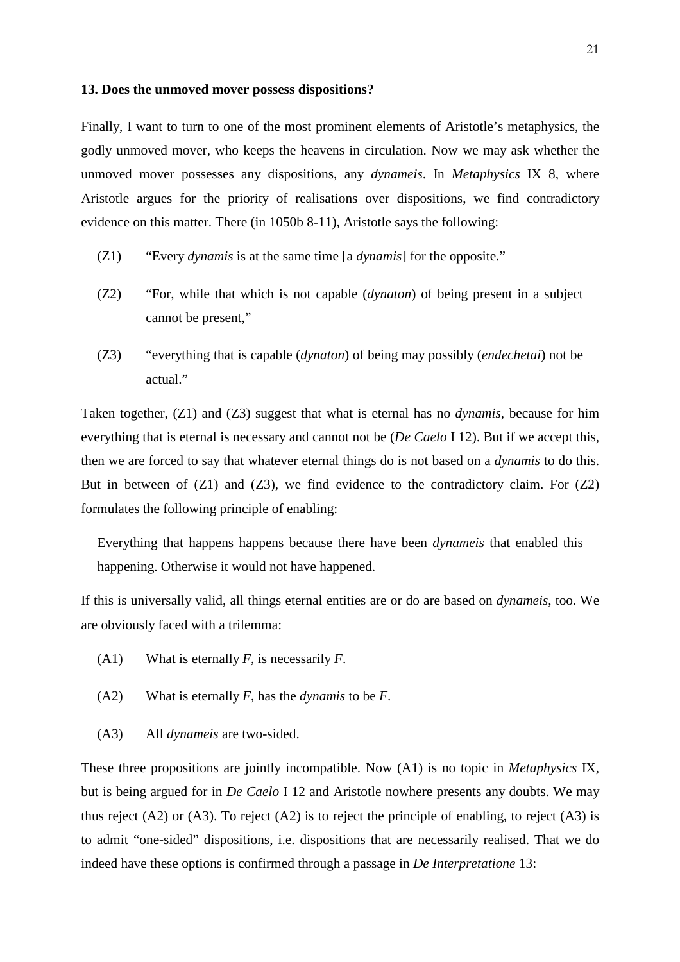#### **13. Does the unmoved mover possess dispositions?**

Finally, I want to turn to one of the most prominent elements of Aristotle's metaphysics, the godly unmoved mover, who keeps the heavens in circulation. Now we may ask whether the unmoved mover possesses any dispositions, any *dynameis*. In *Metaphysics* IX 8, where Aristotle argues for the priority of realisations over dispositions, we find contradictory evidence on this matter. There (in 1050b 8-11), Aristotle says the following:

- (Z1) "Every *dynamis* is at the same time [a *dynamis*] for the opposite."
- (Z2) "For, while that which is not capable (*dynaton*) of being present in a subject cannot be present,"
- (Z3) "everything that is capable (*dynaton*) of being may possibly (*endechetai*) not be actual."

Taken together, (Z1) and (Z3) suggest that what is eternal has no *dynamis*, because for him everything that is eternal is necessary and cannot not be (*De Caelo* I 12). But if we accept this, then we are forced to say that whatever eternal things do is not based on a *dynamis* to do this. But in between of  $(Z1)$  and  $(Z3)$ , we find evidence to the contradictory claim. For  $(Z2)$ formulates the following principle of enabling:

Everything that happens happens because there have been *dynameis* that enabled this happening. Otherwise it would not have happened.

If this is universally valid, all things eternal entities are or do are based on *dynameis*, too. We are obviously faced with a trilemma:

- (A1) What is eternally *F*, is necessarily *F*.
- (A2) What is eternally *F*, has the *dynamis* to be *F*.
- (A3) All *dynameis* are two-sided.

These three propositions are jointly incompatible. Now (A1) is no topic in *Metaphysics* IX, but is being argued for in *De Caelo* I 12 and Aristotle nowhere presents any doubts. We may thus reject  $(A2)$  or  $(A3)$ . To reject  $(A2)$  is to reject the principle of enabling, to reject  $(A3)$  is to admit "one-sided" dispositions, i.e. dispositions that are necessarily realised. That we do indeed have these options is confirmed through a passage in *De Interpretatione* 13: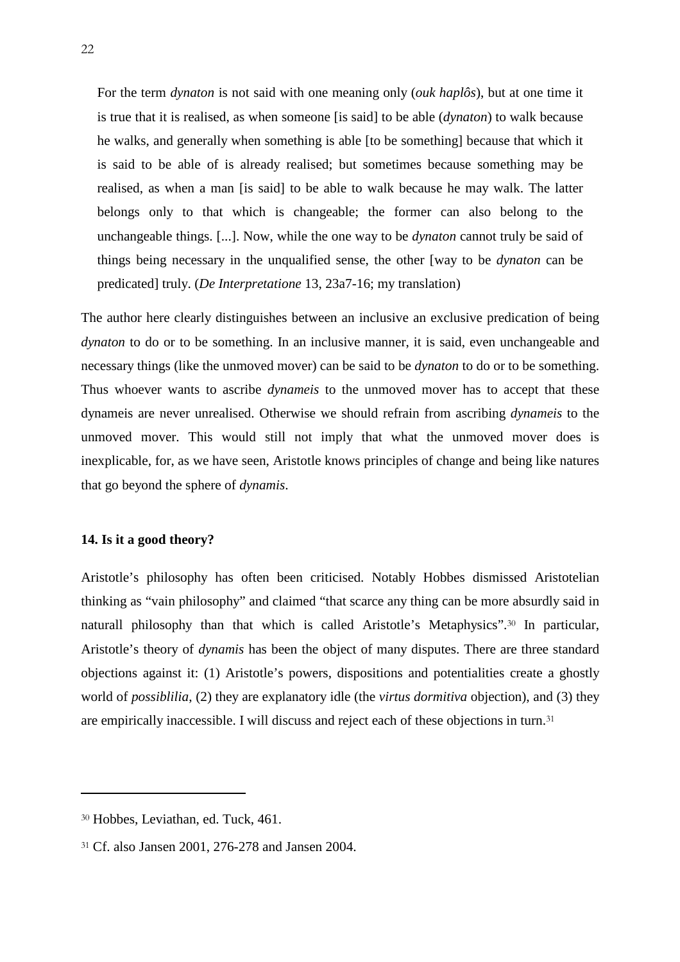For the term *dynaton* is not said with one meaning only (*ouk haplôs*), but at one time it is true that it is realised, as when someone [is said] to be able (*dynaton*) to walk because he walks, and generally when something is able [to be something] because that which it is said to be able of is already realised; but sometimes because something may be realised, as when a man [is said] to be able to walk because he may walk. The latter belongs only to that which is changeable; the former can also belong to the unchangeable things. [...]. Now, while the one way to be *dynaton* cannot truly be said of things being necessary in the unqualified sense, the other [way to be *dynaton* can be predicated] truly. (*De Interpretatione* 13, 23a7-16; my translation)

The author here clearly distinguishes between an inclusive an exclusive predication of being *dynaton* to do or to be something. In an inclusive manner, it is said, even unchangeable and necessary things (like the unmoved mover) can be said to be *dynaton* to do or to be something. Thus whoever wants to ascribe *dynameis* to the unmoved mover has to accept that these dynameis are never unrealised. Otherwise we should refrain from ascribing *dynameis* to the unmoved mover. This would still not imply that what the unmoved mover does is inexplicable, for, as we have seen, Aristotle knows principles of change and being like natures that go beyond the sphere of *dynamis*.

## **14. Is it a good theory?**

Aristotle's philosophy has often been criticised. Notably Hobbes dismissed Aristotelian thinking as "vain philosophy" and claimed "that scarce any thing can be more absurdly said in naturall philosophy than that which is called Aristotle's Metaphysics".<sup>30</sup> In particular, Aristotle's theory of *dynamis* has been the object of many disputes. There are three standard objections against it: (1) Aristotle's powers, dispositions and potentialities create a ghostly world of *possiblilia*, (2) they are explanatory idle (the *virtus dormitiva* objection), and (3) they are empirically inaccessible. I will discuss and reject each of these objections in turn.<sup>31</sup>

<sup>30</sup> Hobbes, Leviathan, ed. Tuck, 461.

<sup>31</sup> Cf. also Jansen 2001, 276-278 and Jansen 2004.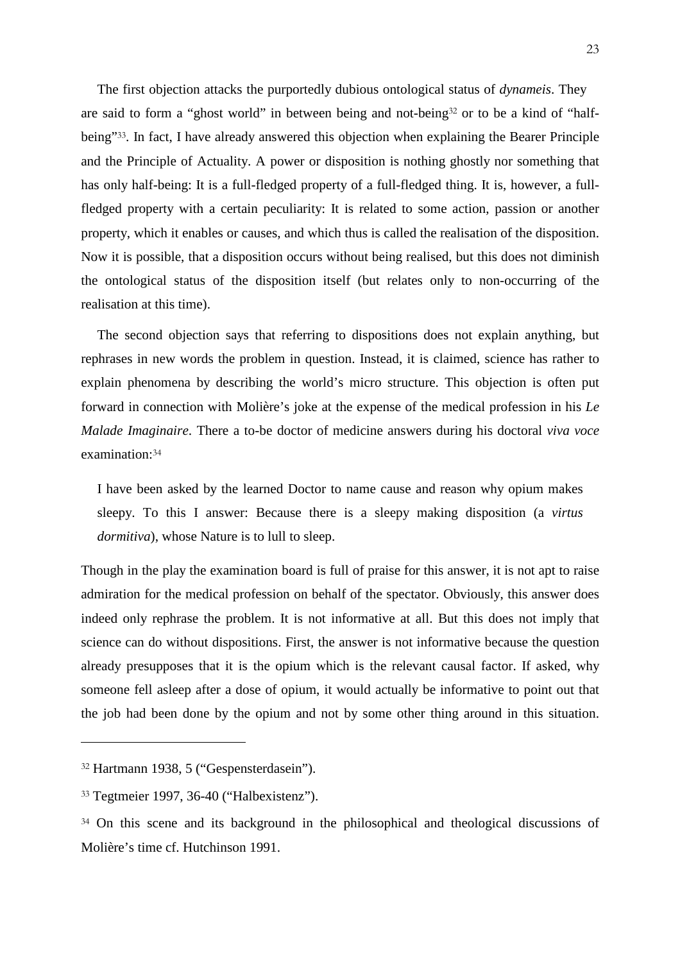The first objection attacks the purportedly dubious ontological status of *dynameis*. They are said to form a "ghost world" in between being and not-being<sup>32</sup> or to be a kind of "halfbeing"<sup>33</sup>. In fact, I have already answered this objection when explaining the Bearer Principle and the Principle of Actuality. A power or disposition is nothing ghostly nor something that has only half-being: It is a full-fledged property of a full-fledged thing. It is, however, a fullfledged property with a certain peculiarity: It is related to some action, passion or another property, which it enables or causes, and which thus is called the realisation of the disposition. Now it is possible, that a disposition occurs without being realised, but this does not diminish the ontological status of the disposition itself (but relates only to non-occurring of the realisation at this time).

The second objection says that referring to dispositions does not explain anything, but rephrases in new words the problem in question. Instead, it is claimed, science has rather to explain phenomena by describing the world's micro structure. This objection is often put forward in connection with Molière's joke at the expense of the medical profession in his *Le Malade Imaginaire*. There a to-be doctor of medicine answers during his doctoral *viva voce*  examination:<sup>34</sup>

I have been asked by the learned Doctor to name cause and reason why opium makes sleepy. To this I answer: Because there is a sleepy making disposition (a *virtus dormitiva*), whose Nature is to lull to sleep.

Though in the play the examination board is full of praise for this answer, it is not apt to raise admiration for the medical profession on behalf of the spectator. Obviously, this answer does indeed only rephrase the problem. It is not informative at all. But this does not imply that science can do without dispositions. First, the answer is not informative because the question already presupposes that it is the opium which is the relevant causal factor. If asked, why someone fell asleep after a dose of opium, it would actually be informative to point out that the job had been done by the opium and not by some other thing around in this situation.

<sup>32</sup> Hartmann 1938, 5 ("Gespensterdasein").

<sup>33</sup> Tegtmeier 1997, 36-40 ("Halbexistenz").

<sup>34</sup> On this scene and its background in the philosophical and theological discussions of Molière's time cf. Hutchinson 1991.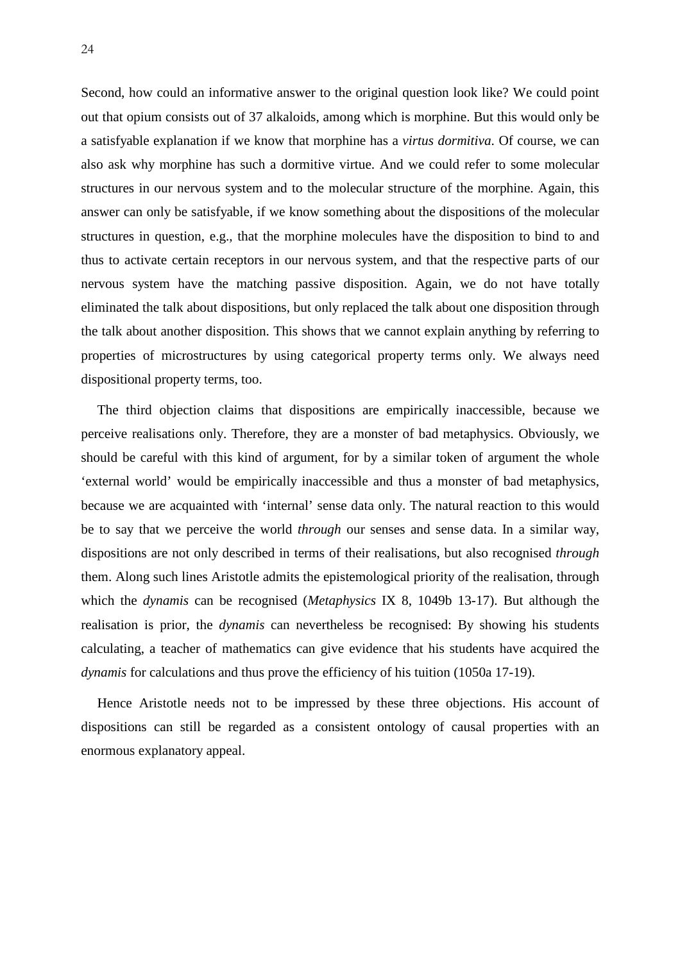Second, how could an informative answer to the original question look like? We could point out that opium consists out of 37 alkaloids, among which is morphine. But this would only be a satisfyable explanation if we know that morphine has a *virtus dormitiva*. Of course, we can also ask why morphine has such a dormitive virtue. And we could refer to some molecular structures in our nervous system and to the molecular structure of the morphine. Again, this answer can only be satisfyable, if we know something about the dispositions of the molecular structures in question, e.g., that the morphine molecules have the disposition to bind to and thus to activate certain receptors in our nervous system, and that the respective parts of our nervous system have the matching passive disposition. Again, we do not have totally eliminated the talk about dispositions, but only replaced the talk about one disposition through the talk about another disposition. This shows that we cannot explain anything by referring to properties of microstructures by using categorical property terms only. We always need dispositional property terms, too.

The third objection claims that dispositions are empirically inaccessible, because we perceive realisations only. Therefore, they are a monster of bad metaphysics. Obviously, we should be careful with this kind of argument, for by a similar token of argument the whole 'external world' would be empirically inaccessible and thus a monster of bad metaphysics, because we are acquainted with 'internal' sense data only. The natural reaction to this would be to say that we perceive the world *through* our senses and sense data. In a similar way, dispositions are not only described in terms of their realisations, but also recognised *through* them. Along such lines Aristotle admits the epistemological priority of the realisation, through which the *dynamis* can be recognised (*Metaphysics* IX 8, 1049b 13-17). But although the realisation is prior, the *dynamis* can nevertheless be recognised: By showing his students calculating, a teacher of mathematics can give evidence that his students have acquired the *dynamis* for calculations and thus prove the efficiency of his tuition (1050a 17-19).

Hence Aristotle needs not to be impressed by these three objections. His account of dispositions can still be regarded as a consistent ontology of causal properties with an enormous explanatory appeal.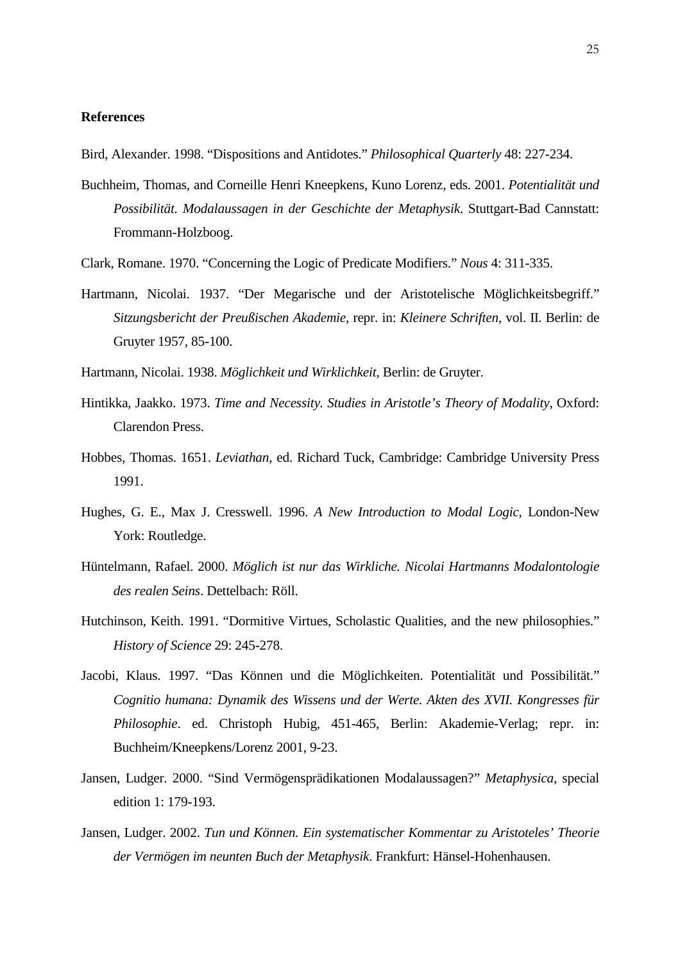## **References**

Bird, Alexander. 1998. "Dispositions and Antidotes." *Philosophical Quarterly* 48: 227-234.

- Buchheim, Thomas, and Corneille Henri Kneepkens, Kuno Lorenz, eds. 2001. *Potentialität und Possibilität. Modalaussagen in der Geschichte der Metaphysik*. Stuttgart-Bad Cannstatt: Frommann-Holzboog.
- Clark, Romane. 1970. "Concerning the Logic of Predicate Modifiers." *Nous* 4: 311-335.
- Hartmann, Nicolai. 1937. "Der Megarische und der Aristotelische Möglichkeitsbegriff." *Sitzungsbericht der Preußischen Akademie*, repr. in: *Kleinere Schriften*, vol. II. Berlin: de Gruyter 1957, 85-100.
- Hartmann, Nicolai. 1938. *Möglichkeit und Wirklichkeit*, Berlin: de Gruyter.
- Hintikka, Jaakko. 1973. *Time and Necessity. Studies in Aristotle's Theory of Modality*, Oxford: Clarendon Press.
- Hobbes, Thomas. 1651. *Leviathan*, ed. Richard Tuck, Cambridge: Cambridge University Press 1991.
- Hughes, G. E., Max J. Cresswell. 1996. *A New Introduction to Modal Logic*, London-New York: Routledge.
- Hüntelmann, Rafael. 2000. *Möglich ist nur das Wirkliche. Nicolai Hartmanns Modalontologie des realen Seins*. Dettelbach: Röll.
- Hutchinson, Keith. 1991. "Dormitive Virtues, Scholastic Qualities, and the new philosophies." *History of Science* 29: 245-278.
- Jacobi, Klaus. 1997. "Das Können und die Möglichkeiten. Potentialität und Possibilität." *Cognitio humana: Dynamik des Wissens und der Werte. Akten des XVII. Kongresses für Philosophie*. ed. Christoph Hubig, 451-465, Berlin: Akademie-Verlag; repr. in: Buchheim/Kneepkens/Lorenz 2001, 9-23.
- Jansen, Ludger. 2000. "Sind Vermögensprädikationen Modalaussagen?" *Metaphysica*, special edition 1: 179-193.
- Jansen, Ludger. 2002. *Tun und Können. Ein systematischer Kommentar zu Aristoteles' Theorie der Vermögen im neunten Buch der Metaphysik*. Frankfurt: Hänsel-Hohenhausen.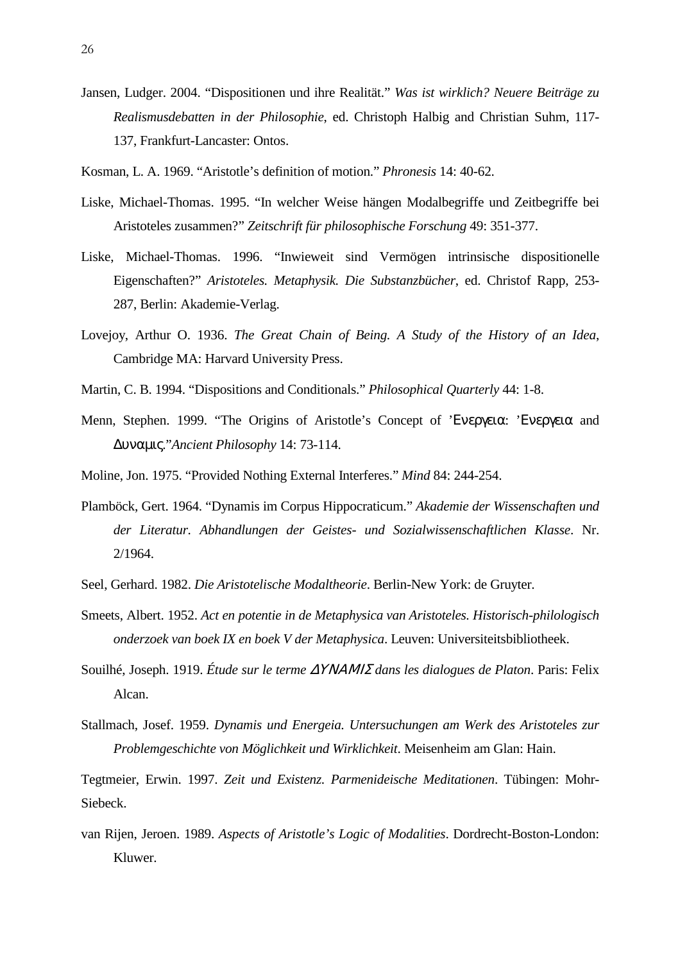- Jansen, Ludger. 2004. "Dispositionen und ihre Realität." *Was ist wirklich? Neuere Beiträge zu Realismusdebatten in der Philosophie*, ed. Christoph Halbig and Christian Suhm, 117- 137, Frankfurt-Lancaster: Ontos.
- Kosman, L. A. 1969. "Aristotle's definition of motion." *Phronesis* 14: 40-62.
- Liske, Michael-Thomas. 1995. "In welcher Weise hängen Modalbegriffe und Zeitbegriffe bei Aristoteles zusammen?" *Zeitschrift für philosophische Forschung* 49: 351-377.
- Liske, Michael-Thomas. 1996. "Inwieweit sind Vermögen intrinsische dispositionelle Eigenschaften?" *Aristoteles. Metaphysik. Die Substanzbücher*, ed. Christof Rapp, 253- 287, Berlin: Akademie-Verlag.
- Lovejoy, Arthur O. 1936. *The Great Chain of Being. A Study of the History of an Idea*, Cambridge MA: Harvard University Press.
- Martin, C. B. 1994. "Dispositions and Conditionals." *Philosophical Quarterly* 44: 1-8.
- Menn, Stephen. 1999. "The Origins of Aristotle's Concept of 'Ενεργεια: 'Ενεργεια and ∆υναµις."*Ancient Philosophy* 14: 73-114.
- Moline, Jon. 1975. "Provided Nothing External Interferes." *Mind* 84: 244-254.
- Plamböck, Gert. 1964. "Dynamis im Corpus Hippocraticum." *Akademie der Wissenschaften und der Literatur. Abhandlungen der Geistes- und Sozialwissenschaftlichen Klasse*. Nr. 2/1964.
- Seel, Gerhard. 1982. *Die Aristotelische Modaltheorie*. Berlin-New York: de Gruyter.
- Smeets, Albert. 1952. *Act en potentie in de Metaphysica van Aristoteles. Historisch-philologisch onderzoek van boek IX en boek V der Metaphysica*. Leuven: Universiteitsbibliotheek.
- Souilhé, Joseph. 1919. *Étude sur le terme* ∆ΥΝΑΜΙΣ *dans les dialogues de Platon*. Paris: Felix Alcan.
- Stallmach, Josef. 1959. *Dynamis und Energeia. Untersuchungen am Werk des Aristoteles zur Problemgeschichte von Möglichkeit und Wirklichkeit*. Meisenheim am Glan: Hain.

Tegtmeier, Erwin. 1997. *Zeit und Existenz. Parmenideische Meditationen*. Tübingen: Mohr-Siebeck.

van Rijen, Jeroen. 1989. *Aspects of Aristotle's Logic of Modalities*. Dordrecht-Boston-London: Kluwer.